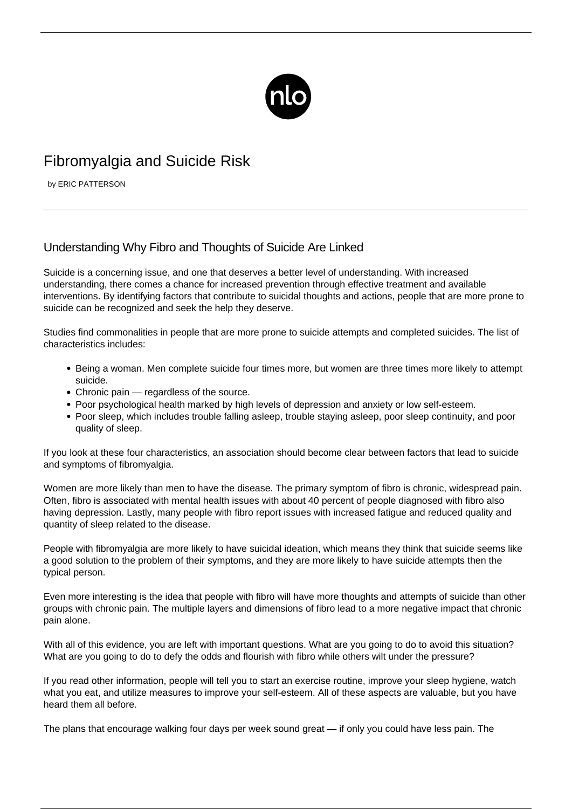

# Fibromyalgia and Suicide Risk

by ERIC PATTERSON

# Understanding Why Fibro and Thoughts of Suicide Are Linked

Suicide is a concerning issue, and one that deserves a better level of understanding. With increased understanding, there comes a chance for increased prevention through effective treatment and available interventions. By identifying factors that contribute to suicidal thoughts and actions, people that are more prone to suicide can be recognized and seek the help they deserve.

Studies find commonalities in people that are more prone to suicide attempts and completed suicides. The list of characteristics includes:

- Being a woman. Men complete suicide four times more, but women are three times more likely to attempt suicide.
- Chronic pain regardless of the source.
- Poor psychological health marked by high levels of depression and anxiety or low self-esteem.
- Poor sleep, which includes trouble falling asleep, trouble staying asleep, poor sleep continuity, and poor quality of sleep.

If you look at these four characteristics, an association should become clear between factors that lead to suicide and symptoms of fibromyalgia.

Women are more likely than men to have the disease. The primary symptom of fibro is chronic, widespread pain. Often, fibro is associated with mental health issues with about 40 percent of people diagnosed with fibro also having [depression.](/identifying-depressive-symptoms-in-people-with-fibromyalgia/) Lastly, many people with fibro report issues with increased fatigue and reduced quality and quantity of sleep related to the disease.

People with fibromyalgia are more likely to have suicidal ideation, which means they think that suicide seems like a good solution to the problem of their symptoms, and they are more likely to have suicide attempts then the typical person.

Even more interesting is the idea that people with fibro will have more thoughts and attempts of suicide than other groups with chronic pain. The multiple layers and dimensions of fibro lead to a more negative impact that chronic pain alone.

With all of this evidence, you are left with important questions. What are you going to do to avoid this situation? What are you going to do to defy the odds and flourish with fibro while others wilt under the pressure?

If you read other information, people will tell you to start an exercise routine, improve your sleep hygiene, watch what you eat, and utilize measures to improve your self-esteem. All of these aspects are valuable, but you have heard them all before.

The plans that encourage walking four days per week sound great — if only you could have less pain. The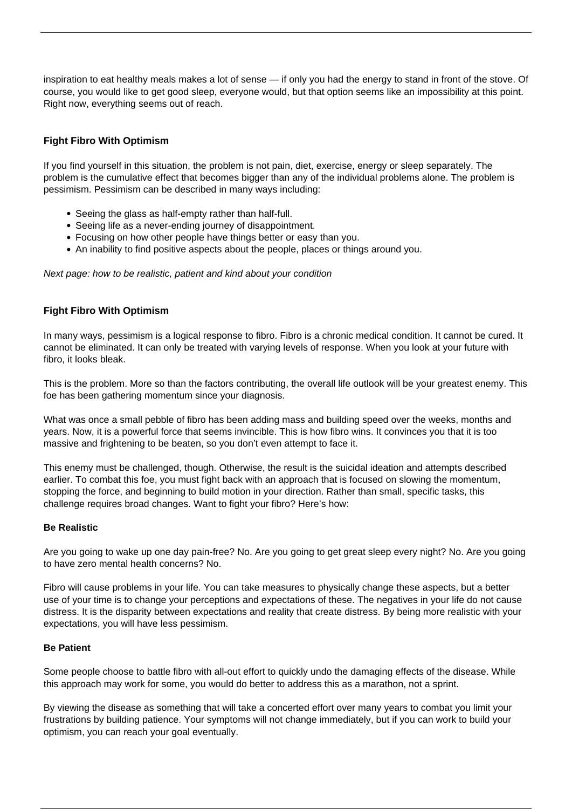inspiration to eat healthy meals makes a lot of sense — if only you had the energy to stand in front of the stove. Of course, you would like to get good sleep, everyone would, but that option seems like an impossibility at this point. Right now, everything seems out of reach.

## **Fight Fibro With Optimism**

If you find yourself in this situation, the problem is not pain, diet, exercise, energy or sleep separately. The problem is the cumulative effect that becomes bigger than any of the individual problems alone. The problem is pessimism. Pessimism can be described in many ways including:

- Seeing the glass as half-empty rather than half-full.
- Seeing life as a never-ending journey of disappointment.
- Focusing on how other people have things better or easy than you.
- An inability to find positive aspects about the people, places or things around you.

Next page: how to be realistic, patient and kind about your condition

#### **Fight Fibro With Optimism**

In many ways, pessimism is a logical response to fibro. Fibro is a chronic medical condition. It cannot be cured. It cannot be eliminated. It can only be treated with varying levels of response. When you look at your future with fibro, it looks bleak.

This is the problem. More so than the factors contributing, the overall life outlook will be your greatest enemy. This foe has been gathering momentum since your diagnosis.

What was once a small pebble of fibro has been adding mass and building speed over the weeks, months and years. Now, it is a powerful force that seems invincible. This is how fibro wins. It convinces you that it is too massive and frightening to be beaten, so you don't even attempt to face it.

This enemy must be challenged, though. Otherwise, the result is the suicidal ideation and attempts described earlier. To combat this foe, you must fight back with an approach that is focused on slowing the momentum, stopping the force, and beginning to build motion in your direction. Rather than small, specific tasks, this challenge requires broad changes. Want to fight your fibro? Here's how:

#### **Be Realistic**

Are you going to wake up one day pain-free? No. Are you going to get great sleep every night? No. Are you going to have zero mental health concerns? No.

Fibro will cause problems in your life. You can take measures to physically change these aspects, but a better use of your time is to change your perceptions and expectations of these. The negatives in your life do not cause distress. It is the disparity between expectations and reality that create distress. By being more realistic with your expectations, you will have less pessimism.

#### **Be Patient**

Some people choose to battle fibro with all-out effort to quickly undo the damaging effects of the disease. While this approach may work for some, you would do better to address this as a marathon, not a sprint.

By viewing the disease as something that will take a concerted effort over many years to combat you limit your frustrations by building patience. Your symptoms will not change immediately, but if you can work to build your [optimism](/tips-for-keeping-positive-despite-fibromyalgia/), you can reach your goal eventually.